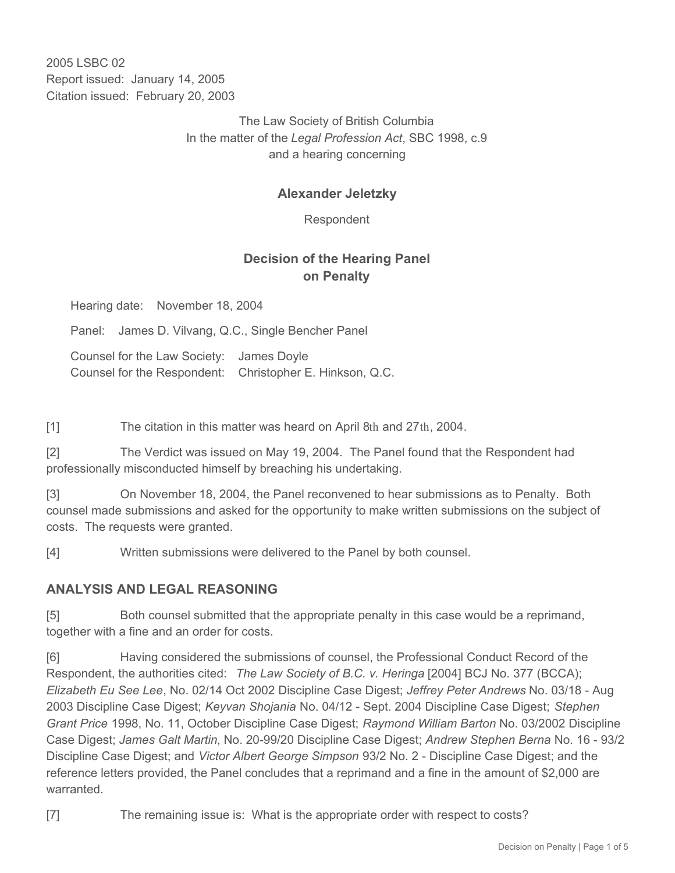2005 LSBC 02 Report issued: January 14, 2005 Citation issued: February 20, 2003

> The Law Society of British Columbia In the matter of the *Legal Profession Act*, SBC 1998, c.9 and a hearing concerning

### **Alexander Jeletzky**

Respondent

# **Decision of the Hearing Panel on Penalty**

Hearing date: November 18, 2004

Panel: James D. Vilvang, Q.C., Single Bencher Panel

Counsel for the Law Society: James Doyle Counsel for the Respondent: Christopher E. Hinkson, Q.C.

[1] The citation in this matter was heard on April 8th and 27th, 2004.

[2] The Verdict was issued on May 19, 2004. The Panel found that the Respondent had professionally misconducted himself by breaching his undertaking.

[3] On November 18, 2004, the Panel reconvened to hear submissions as to Penalty. Both counsel made submissions and asked for the opportunity to make written submissions on the subject of costs. The requests were granted.

[4] Written submissions were delivered to the Panel by both counsel.

### **ANALYSIS AND LEGAL REASONING**

[5] Both counsel submitted that the appropriate penalty in this case would be a reprimand, together with a fine and an order for costs.

[6] Having considered the submissions of counsel, the Professional Conduct Record of the Respondent, the authorities cited: *The Law Society of B.C. v. Heringa* [2004] BCJ No. 377 (BCCA); *Elizabeth Eu See Lee*, No. 02/14 Oct 2002 Discipline Case Digest; *Jeffrey Peter Andrews* No. 03/18 - Aug 2003 Discipline Case Digest; *Keyvan Shojania* No. 04/12 - Sept. 2004 Discipline Case Digest; *Stephen Grant Price* 1998, No. 11, October Discipline Case Digest; *Raymond William Barton* No. 03/2002 Discipline Case Digest; *James Galt Martin*, No. 20-99/20 Discipline Case Digest; *Andrew Stephen Berna* No. 16 - 93/2 Discipline Case Digest; and *Victor Albert George Simpson* 93/2 No. 2 - Discipline Case Digest; and the reference letters provided, the Panel concludes that a reprimand and a fine in the amount of \$2,000 are warranted.

[7] The remaining issue is: What is the appropriate order with respect to costs?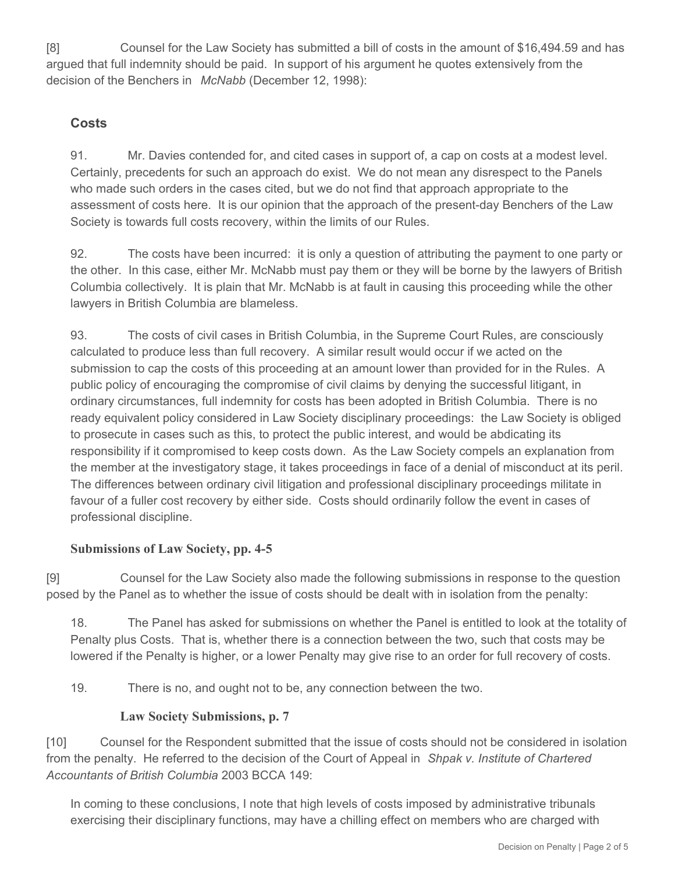[8] Counsel for the Law Society has submitted a bill of costs in the amount of \$16,494.59 and has argued that full indemnity should be paid. In support of his argument he quotes extensively from the decision of the Benchers in *McNabb* (December 12, 1998):

# **Costs**

91. Mr. Davies contended for, and cited cases in support of, a cap on costs at a modest level. Certainly, precedents for such an approach do exist. We do not mean any disrespect to the Panels who made such orders in the cases cited, but we do not find that approach appropriate to the assessment of costs here. It is our opinion that the approach of the present-day Benchers of the Law Society is towards full costs recovery, within the limits of our Rules.

92. The costs have been incurred: it is only a question of attributing the payment to one party or the other. In this case, either Mr. McNabb must pay them or they will be borne by the lawyers of British Columbia collectively. It is plain that Mr. McNabb is at fault in causing this proceeding while the other lawyers in British Columbia are blameless.

93. The costs of civil cases in British Columbia, in the Supreme Court Rules, are consciously calculated to produce less than full recovery. A similar result would occur if we acted on the submission to cap the costs of this proceeding at an amount lower than provided for in the Rules. A public policy of encouraging the compromise of civil claims by denying the successful litigant, in ordinary circumstances, full indemnity for costs has been adopted in British Columbia. There is no ready equivalent policy considered in Law Society disciplinary proceedings: the Law Society is obliged to prosecute in cases such as this, to protect the public interest, and would be abdicating its responsibility if it compromised to keep costs down. As the Law Society compels an explanation from the member at the investigatory stage, it takes proceedings in face of a denial of misconduct at its peril. The differences between ordinary civil litigation and professional disciplinary proceedings militate in favour of a fuller cost recovery by either side. Costs should ordinarily follow the event in cases of professional discipline.

### **Submissions of Law Society, pp. 4-5**

[9] Counsel for the Law Society also made the following submissions in response to the question posed by the Panel as to whether the issue of costs should be dealt with in isolation from the penalty:

18. The Panel has asked for submissions on whether the Panel is entitled to look at the totality of Penalty plus Costs. That is, whether there is a connection between the two, such that costs may be lowered if the Penalty is higher, or a lower Penalty may give rise to an order for full recovery of costs.

19. There is no, and ought not to be, any connection between the two.

### **Law Society Submissions, p. 7**

[10] Counsel for the Respondent submitted that the issue of costs should not be considered in isolation from the penalty. He referred to the decision of the Court of Appeal in *Shpak v. Institute of Chartered Accountants of British Columbia* 2003 BCCA 149:

In coming to these conclusions, I note that high levels of costs imposed by administrative tribunals exercising their disciplinary functions, may have a chilling effect on members who are charged with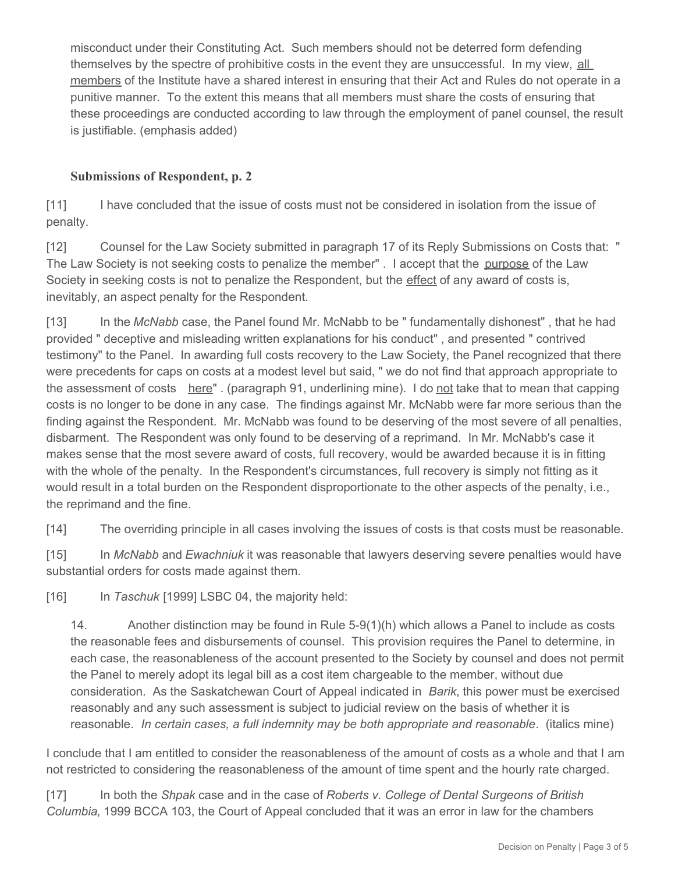misconduct under their Constituting Act. Such members should not be deterred form defending themselves by the spectre of prohibitive costs in the event they are unsuccessful. In my view, all members of the Institute have a shared interest in ensuring that their Act and Rules do not operate in a punitive manner. To the extent this means that all members must share the costs of ensuring that these proceedings are conducted according to law through the employment of panel counsel, the result is justifiable. (emphasis added)

## **Submissions of Respondent, p. 2**

[11] I have concluded that the issue of costs must not be considered in isolation from the issue of penalty.

[12] Counsel for the Law Society submitted in paragraph 17 of its Reply Submissions on Costs that: " The Law Society is not seeking costs to penalize the member" . I accept that the purpose of the Law Society in seeking costs is not to penalize the Respondent, but the effect of any award of costs is, inevitably, an aspect penalty for the Respondent.

[13] In the *McNabb* case, the Panel found Mr. McNabb to be " fundamentally dishonest" , that he had provided " deceptive and misleading written explanations for his conduct" , and presented " contrived testimony" to the Panel. In awarding full costs recovery to the Law Society, the Panel recognized that there were precedents for caps on costs at a modest level but said, " we do not find that approach appropriate to the assessment of costs here" . (paragraph 91, underlining mine). I do not take that to mean that capping costs is no longer to be done in any case. The findings against Mr. McNabb were far more serious than the finding against the Respondent. Mr. McNabb was found to be deserving of the most severe of all penalties, disbarment. The Respondent was only found to be deserving of a reprimand. In Mr. McNabb's case it makes sense that the most severe award of costs, full recovery, would be awarded because it is in fitting with the whole of the penalty. In the Respondent's circumstances, full recovery is simply not fitting as it would result in a total burden on the Respondent disproportionate to the other aspects of the penalty, i.e., the reprimand and the fine.

[14] The overriding principle in all cases involving the issues of costs is that costs must be reasonable.

[15] In *McNabb* and *Ewachniuk* it was reasonable that lawyers deserving severe penalties would have substantial orders for costs made against them.

[16] In *Taschuk* [1999] LSBC 04, the majority held:

14. Another distinction may be found in Rule 5-9(1)(h) which allows a Panel to include as costs the reasonable fees and disbursements of counsel. This provision requires the Panel to determine, in each case, the reasonableness of the account presented to the Society by counsel and does not permit the Panel to merely adopt its legal bill as a cost item chargeable to the member, without due consideration. As the Saskatchewan Court of Appeal indicated in *Barik*, this power must be exercised reasonably and any such assessment is subject to judicial review on the basis of whether it is reasonable. *In certain cases, a full indemnity may be both appropriate and reasonable*. (italics mine)

I conclude that I am entitled to consider the reasonableness of the amount of costs as a whole and that I am not restricted to considering the reasonableness of the amount of time spent and the hourly rate charged.

[17] In both the *Shpak* case and in the case of *Roberts v. College of Dental Surgeons of British Columbia*, 1999 BCCA 103, the Court of Appeal concluded that it was an error in law for the chambers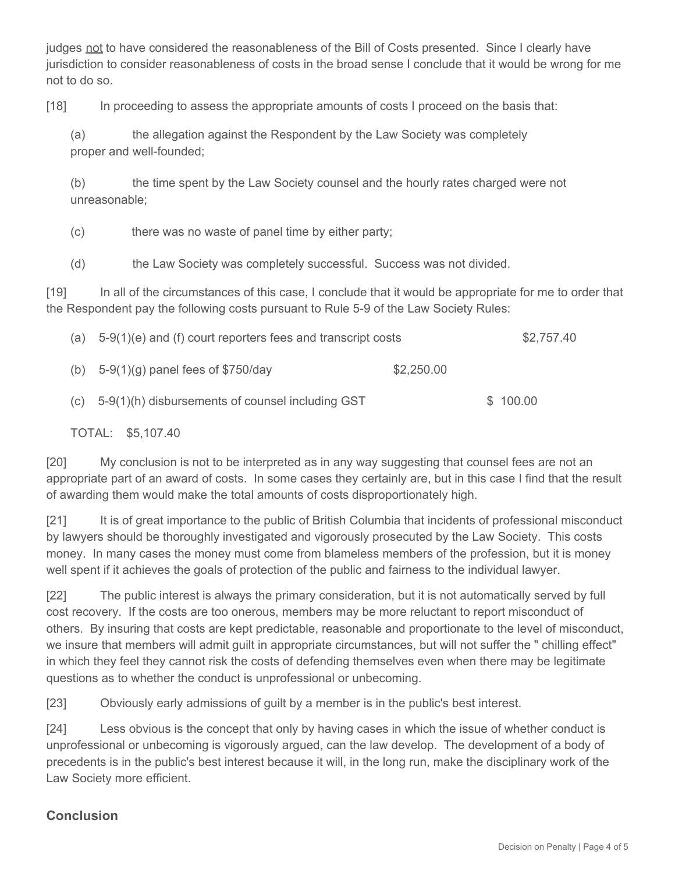judges not to have considered the reasonableness of the Bill of Costs presented. Since I clearly have jurisdiction to consider reasonableness of costs in the broad sense I conclude that it would be wrong for me not to do so.

[18] In proceeding to assess the appropriate amounts of costs I proceed on the basis that:

(a) the allegation against the Respondent by the Law Society was completely proper and well-founded;

(b) the time spent by the Law Society counsel and the hourly rates charged were not unreasonable;

(c) there was no waste of panel time by either party;

(d) the Law Society was completely successful. Success was not divided.

[19] In all of the circumstances of this case, I conclude that it would be appropriate for me to order that the Respondent pay the following costs pursuant to Rule 5-9 of the Law Society Rules:

| (a) | $5-9(1)(e)$ and (f) court reporters fees and transcript costs |            | \$2,757.40 |
|-----|---------------------------------------------------------------|------------|------------|
| (b) | $5-9(1)(g)$ panel fees of \$750/day                           | \$2,250.00 |            |
| (C) | 5-9(1)(h) disbursements of counsel including GST              |            | \$100.00   |

TOTAL: \$5,107.40

[20] My conclusion is not to be interpreted as in any way suggesting that counsel fees are not an appropriate part of an award of costs. In some cases they certainly are, but in this case I find that the result of awarding them would make the total amounts of costs disproportionately high.

[21] It is of great importance to the public of British Columbia that incidents of professional misconduct by lawyers should be thoroughly investigated and vigorously prosecuted by the Law Society. This costs money. In many cases the money must come from blameless members of the profession, but it is money well spent if it achieves the goals of protection of the public and fairness to the individual lawyer.

[22] The public interest is always the primary consideration, but it is not automatically served by full cost recovery. If the costs are too onerous, members may be more reluctant to report misconduct of others. By insuring that costs are kept predictable, reasonable and proportionate to the level of misconduct, we insure that members will admit guilt in appropriate circumstances, but will not suffer the " chilling effect" in which they feel they cannot risk the costs of defending themselves even when there may be legitimate questions as to whether the conduct is unprofessional or unbecoming.

[23] Obviously early admissions of guilt by a member is in the public's best interest.

[24] Less obvious is the concept that only by having cases in which the issue of whether conduct is unprofessional or unbecoming is vigorously argued, can the law develop. The development of a body of precedents is in the public's best interest because it will, in the long run, make the disciplinary work of the Law Society more efficient.

# **Conclusion**